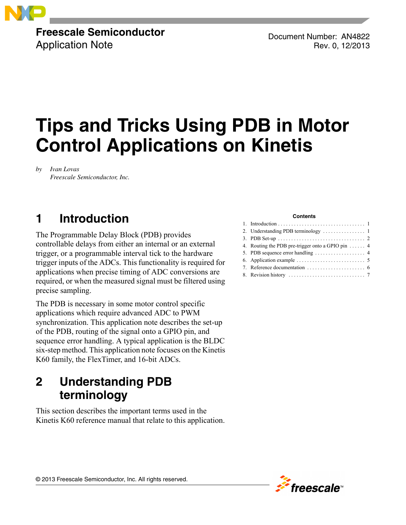

### **Freescale Semiconductor** Application Note

Document Number: AN4822 Rev. 0, 12/2013

# **Tips and Tricks Using PDB in Motor Control Applications on Kinetis**

*by Ivan Lovas Freescale Semiconductor, Inc.*

# <span id="page-0-0"></span>**1 Introduction**

The Programmable Delay Block (PDB) provides controllable delays from either an internal or an external trigger, or a programmable interval tick to the hardware trigger inputs of the ADCs. This functionality is required for applications when precise timing of ADC conversions are required, or when the measured signal must be filtered using precise sampling.

The PDB is necessary in some motor control specific applications which require advanced ADC to PWM synchronization. This application note describes the set-up of the PDB, routing of the signal onto a GPIO pin, and sequence error handling. A typical application is the BLDC six-step method. This application note focuses on the Kinetis K60 family, the FlexTimer, and 16-bit ADCs.

### <span id="page-0-1"></span>**2 Understanding PDB terminology**

This section describes the important terms used in the Kinetis K60 reference manual that relate to this application.

#### **Contents**

| 4. Routing the PDB pre-trigger onto a GPIO pin $\dots$ 4       |
|----------------------------------------------------------------|
| 5. PDB sequence error handling $\dots \dots \dots \dots \dots$ |
|                                                                |
|                                                                |
|                                                                |
|                                                                |

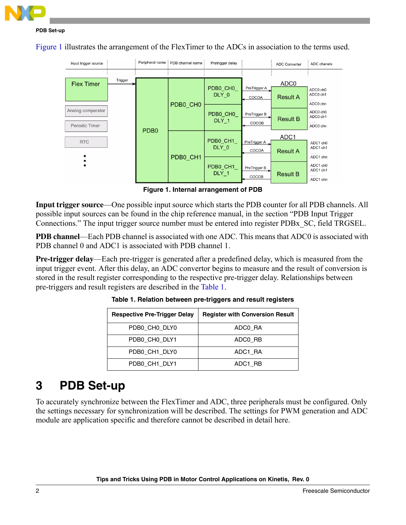

[Figure 1](#page-1-1) illustrates the arrangement of the FlexTimer to the ADCs in association to the terms used.



**Figure 1. Internal arrangement of PDB**

<span id="page-1-1"></span>**Input trigger source**—One possible input source which starts the PDB counter for all PDB channels. All possible input sources can be found in the chip reference manual, in the section "PDB Input Trigger Connections." The input trigger source number must be entered into register PDBx\_SC, field TRGSEL.

**PDB channel**—Each PDB channel is associated with one ADC. This means that ADC0 is associated with PDB channel 0 and ADC1 is associated with PDB channel 1.

<span id="page-1-2"></span>**Pre-trigger delay**—Each pre-trigger is generated after a predefined delay, which is measured from the input trigger event. After this delay, an ADC convertor begins to measure and the result of conversion is stored in the result register corresponding to the respective pre-trigger delay. Relationships between pre-triggers and result registers are described in the [Table 1.](#page-1-2)

| <b>Respective Pre-Trigger Delay</b> | <b>Register with Conversion Result</b> |
|-------------------------------------|----------------------------------------|
| PDB0 CH0 DLY0                       | ADCO RA                                |
| PDB0 CH0 DLY1                       | ADCO RB                                |
| PDB0 CH1 DLY0                       | ADC1 RA                                |
| PDB0 CH1 DLY1                       | ADC1 RB                                |

**Table 1. Relation between pre-triggers and result registers**

### <span id="page-1-0"></span>**3 PDB Set-up**

To accurately synchronize between the FlexTimer and ADC, three peripherals must be configured. Only the settings necessary for synchronization will be described. The settings for PWM generation and ADC module are application specific and therefore cannot be described in detail here.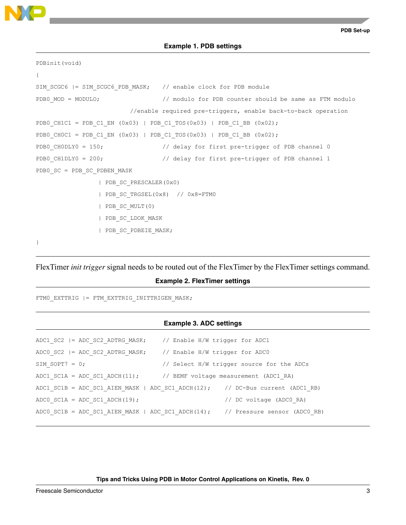

**Example 1. PDB settings**

```
PDBinit(void)
{
SIM_SCGC6 |= SIM_SCGC6_PDB_MASK; // enable clock for PDB_module
PDB0 MOD = MODULO; \frac{1}{2} modulo for PDB counter should be same as FTM modulo
                         //enable required pre-triggers, enable back-to-back operation
PDB0_CH1C1 = PDB_C1_EN (0x03) | PDB_C1_TOS(0x03) | PDB_C1_BB (0x02);
PDB0 CH0C1 = PDB_C1_EN (0x03) | PDB_C1_TOS(0x03) | PDB_C1_BB (0x02);
PDB0 CH0DLY0 = 150; // delay for first pre-trigger of PDB channel 0
PDB0 CH1DLY0 = 200; \frac{1}{2} delay for first pre-trigger of PDB channel 1
PDB0_SC = PDB_SC_PDBEN_MASK
                 | PDB_SC_PRESCALER(0x0)
                 | PDB_SC_TRGSEL(0x8) // 0x8=FTM0
                 | PDB_SC_MULT(0)
                 | PDB_SC_LDOK_MASK
                 | PDB_SC_PDBEIE_MASK;
}
```
FlexTimer *init trigger* signal needs to be routed out of the FlexTimer by the FlexTimer settings command.

#### **Example 2. FlexTimer settings**

FTM0\_EXTTRIG |= FTM\_EXTTRIG\_INITTRIGEN\_MASK;

#### **Example 3. ADC settings**

|                                   | ADC1 SC2  = ADC SC2 ADTRG MASK; // Enable $H/W$ trigger for ADC1               |  |
|-----------------------------------|--------------------------------------------------------------------------------|--|
|                                   | ADCO SC2 $ =$ ADC SC2 ADTRG MASK; // Enable H/W trigger for ADCO               |  |
| SIM SOPT $7 = 0$ ;                | // Select H/W trigger source for the ADCs                                      |  |
|                                   | ADC1 SC1A = ADC SC1 ADCH $(11)$ ; // BEMF voltage measurement (ADC1 RA)        |  |
|                                   | ADC1 SC1B = ADC SC1 AIEN MASK   ADC SC1 ADCH(12); // DC-Bus current (ADC1 RB)  |  |
| ADCO SC1A = ADC SC1 ADCH $(19)$ ; | // DC voltage (ADCO RA)                                                        |  |
|                                   | ADC0 SC1B = ADC SC1 AIEN MASK   ADC SC1 ADCH(14); // Pressure sensor (ADC0 RB) |  |

**Tips and Tricks Using PDB in Motor Control Applications on Kinetis, Rev. 0**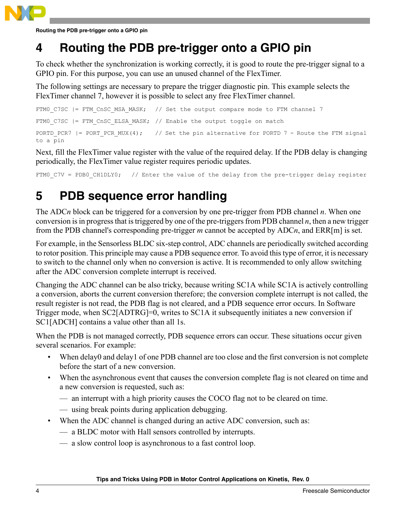

**Routing the PDB pre-trigger onto a GPIO pin**

## <span id="page-3-0"></span>**4 Routing the PDB pre-trigger onto a GPIO pin**

To check whether the synchronization is working correctly, it is good to route the pre-trigger signal to a GPIO pin. For this purpose, you can use an unused channel of the FlexTimer.

The following settings are necessary to prepare the trigger diagnostic pin. This example selects the FlexTimer channel 7, however it is possible to select any free FlexTimer channel.

```
FTM0 C7SC | = FTM CnSC MSA MASK; // Set the output compare mode to FTM channel 7
FTM0 C7SC |= FTM CnSC ELSA MASK; // Enable the output toggle on match
PORTD PCR7 |= PORT PCR MUX(4); // Set the pin alternative for PORTD 7 - Route the FTM signal
to a pin
```
Next, fill the FlexTimer value register with the value of the required delay. If the PDB delay is changing periodically, the FlexTimer value register requires periodic updates.

FTM0 C7V = PDB0 CH1DLY0; // Enter the value of the delay from the pre-trigger delay register

### <span id="page-3-1"></span>**5 PDB sequence error handling**

The ADC*n* block can be triggered for a conversion by one pre-trigger from PDB channel *n*. When one conversion is in progress that is triggered by one of the pre-triggers from PDB channel *n*, then a new trigger from the PDB channel's corresponding pre-trigger *m* cannot be accepted by ADC*n*, and ERR[m] is set.

For example, in the Sensorless BLDC six-step control, ADC channels are periodically switched according to rotor position. This principle may cause a PDB sequence error. To avoid this type of error, it is necessary to switch to the channel only when no conversion is active. It is recommended to only allow switching after the ADC conversion complete interrupt is received.

Changing the ADC channel can be also tricky, because writing SC1A while SC1A is actively controlling a conversion, aborts the current conversion therefore; the conversion complete interrupt is not called, the result register is not read, the PDB flag is not cleared, and a PDB sequence error occurs. In Software Trigger mode, when SC2[ADTRG]=0, writes to SC1A it subsequently initiates a new conversion if SC1[ADCH] contains a value other than all 1s.

When the PDB is not managed correctly, PDB sequence errors can occur. These situations occur given several scenarios. For example:

- When delay0 and delay1 of one PDB channel are too close and the first conversion is not complete before the start of a new conversion.
- When the asynchronous event that causes the conversion complete flag is not cleared on time and a new conversion is requested, such as:
	- an interrupt with a high priority causes the COCO flag not to be cleared on time.
	- using break points during application debugging.
- When the ADC channel is changed during an active ADC conversion, such as:
	- a BLDC motor with Hall sensors controlled by interrupts.
	- a slow control loop is asynchronous to a fast control loop.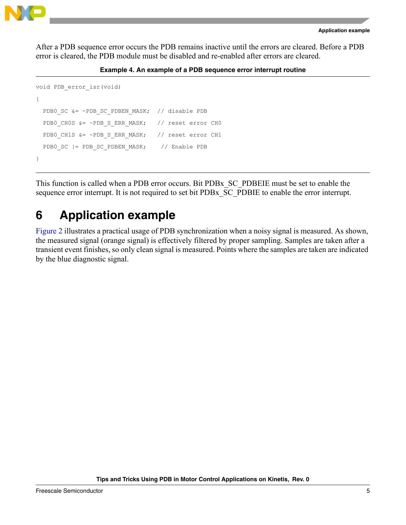

After a PDB sequence error occurs the PDB remains inactive until the errors are cleared. Before a PDB error is cleared, the PDB module must be disabled and re-enabled after errors are cleared.

#### **Example 4. An example of a PDB sequence error interrupt routine**

```
void PDB_error_isr(void) 
{ 
  PDB0 SC &= ~PDB SC PDBEN MASK; // disable PDB
  PDB0_CH0S &= ~PDB_S_ERR_MASK; // reset error CH0
  PDB0_CH1S &= ~PDB_S_ERR_MASK; // reset error CH1
  PDB0 SC |= PDB SC PDBEN MASK; // Enable PDB
}
```
This function is called when a PDB error occurs. Bit PDBx\_SC\_PDBEIE must be set to enable the sequence error interrupt. It is not required to set bit PDBx\_SC\_PDBIE to enable the error interrupt.

### <span id="page-4-0"></span>**6 Application example**

[Figure 2](#page-5-1) illustrates a practical usage of PDB synchronization when a noisy signal is measured. As shown, the measured signal (orange signal) is effectively filtered by proper sampling. Samples are taken after a transient event finishes, so only clean signal is measured. Points where the samples are taken are indicated by the blue diagnostic signal.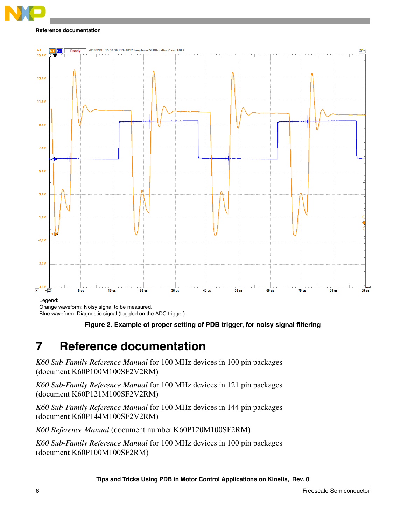#### **Reference documentation**



Orange waveform: Noisy signal to be measured.

<span id="page-5-1"></span>Blue waveform: Diagnostic signal (toggled on the ADC trigger).

### **Figure 2. Example of proper setting of PDB trigger, for noisy signal filtering**

### <span id="page-5-0"></span>**7 Reference documentation**

*K60 Sub-Family Reference Manual* for 100 MHz devices in 100 pin packages (document K60P100M100SF2V2RM)

*K60 Sub-Family Reference Manual* for 100 MHz devices in 121 pin packages (document K60P121M100SF2V2RM)

*K60 Sub-Family Reference Manual* for 100 MHz devices in 144 pin packages (document K60P144M100SF2V2RM)

*K60 Reference Manual* (document number K60P120M100SF2RM)

*K60 Sub-Family Reference Manual* for 100 MHz devices in 100 pin packages (document K60P100M100SF2RM)

**Tips and Tricks Using PDB in Motor Control Applications on Kinetis, Rev. 0**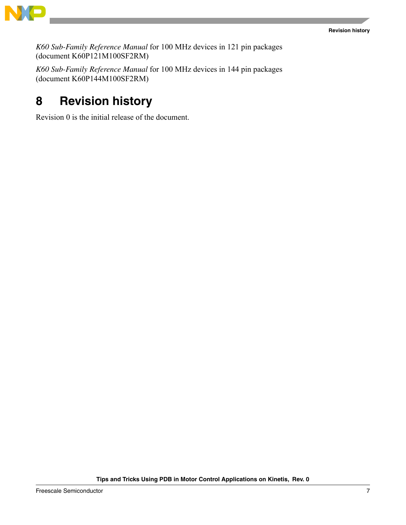

*K60 Sub-Family Reference Manual* for 100 MHz devices in 121 pin packages (document K60P121M100SF2RM)

*K60 Sub-Family Reference Manual* for 100 MHz devices in 144 pin packages (document K60P144M100SF2RM)

# <span id="page-6-0"></span>**8 Revision history**

Revision 0 is the initial release of the document.

**Tips and Tricks Using PDB in Motor Control Applications on Kinetis, Rev. 0**